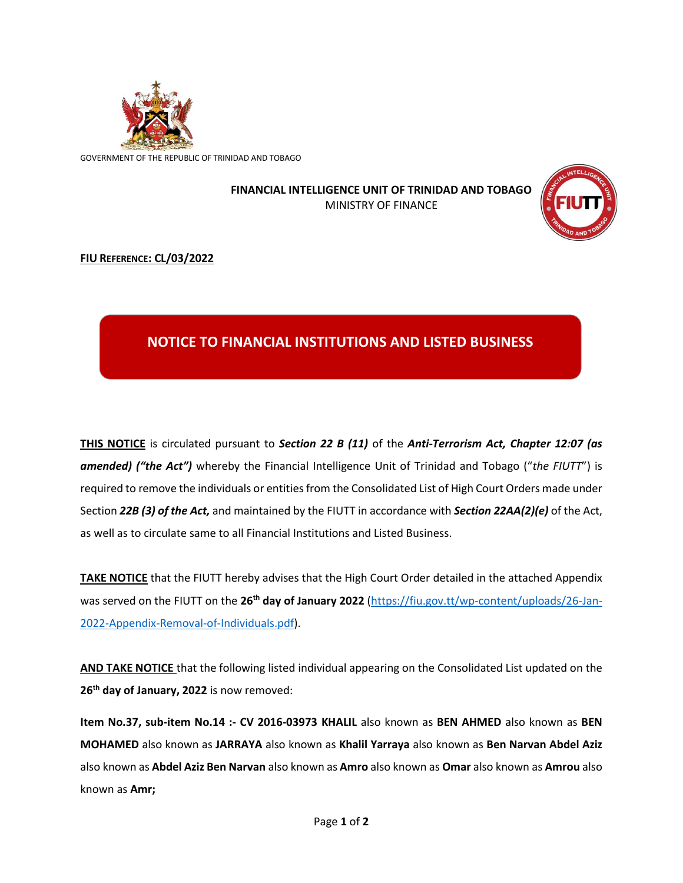

GOVERNMENT OF THE REPUBLIC OF TRINIDAD AND TOBAGO

## **FINANCIAL INTELLIGENCE UNIT OF TRINIDAD AND TOBAGO** MINISTRY OF FINANCE



## **FIU REFERENCE: CL/03/2022**

## **NOTICE TO FINANCIAL INSTITUTIONS AND LISTED BUSINESS**

**THIS NOTICE** is circulated pursuant to *Section 22 B (11)* of the *Anti-Terrorism Act, Chapter 12:07 (as amended) ("the Act")* whereby the Financial Intelligence Unit of Trinidad and Tobago ("*the FIUTT*") is required to remove the individuals or entities from the Consolidated List of High Court Orders made under Section *22B (3) of the Act,* and maintained by the FIUTT in accordance with *Section 22AA(2)(e)* of the Act, as well as to circulate same to all Financial Institutions and Listed Business.

**TAKE NOTICE** that the FIUTT hereby advises that the High Court Order detailed in the attached Appendix was served on the FIUTT on the **26 th day of January 2022** [\(https://fiu.gov.tt/wp-content/uploads/26-Jan-](https://fiu.gov.tt/wp-content/uploads/26-Jan-2022-Appendix-Removal-of-Individuals.pdf)[2022-Appendix-Removal-of-Individuals.pdf\)](https://fiu.gov.tt/wp-content/uploads/26-Jan-2022-Appendix-Removal-of-Individuals.pdf).

**AND TAKE NOTICE** that the following listed individual appearing on the Consolidated List updated on the **26th day of January, 2022** is now removed:

**Item No.37, sub-item No.14 :- CV 2016-03973 KHALIL** also known as **BEN AHMED** also known as **BEN MOHAMED** also known as **JARRAYA** also known as **Khalil Yarraya** also known as **Ben Narvan Abdel Aziz**  also known as **Abdel Aziz Ben Narvan** also known as **Amro** also known as **Omar** also known as **Amrou** also known as **Amr;**